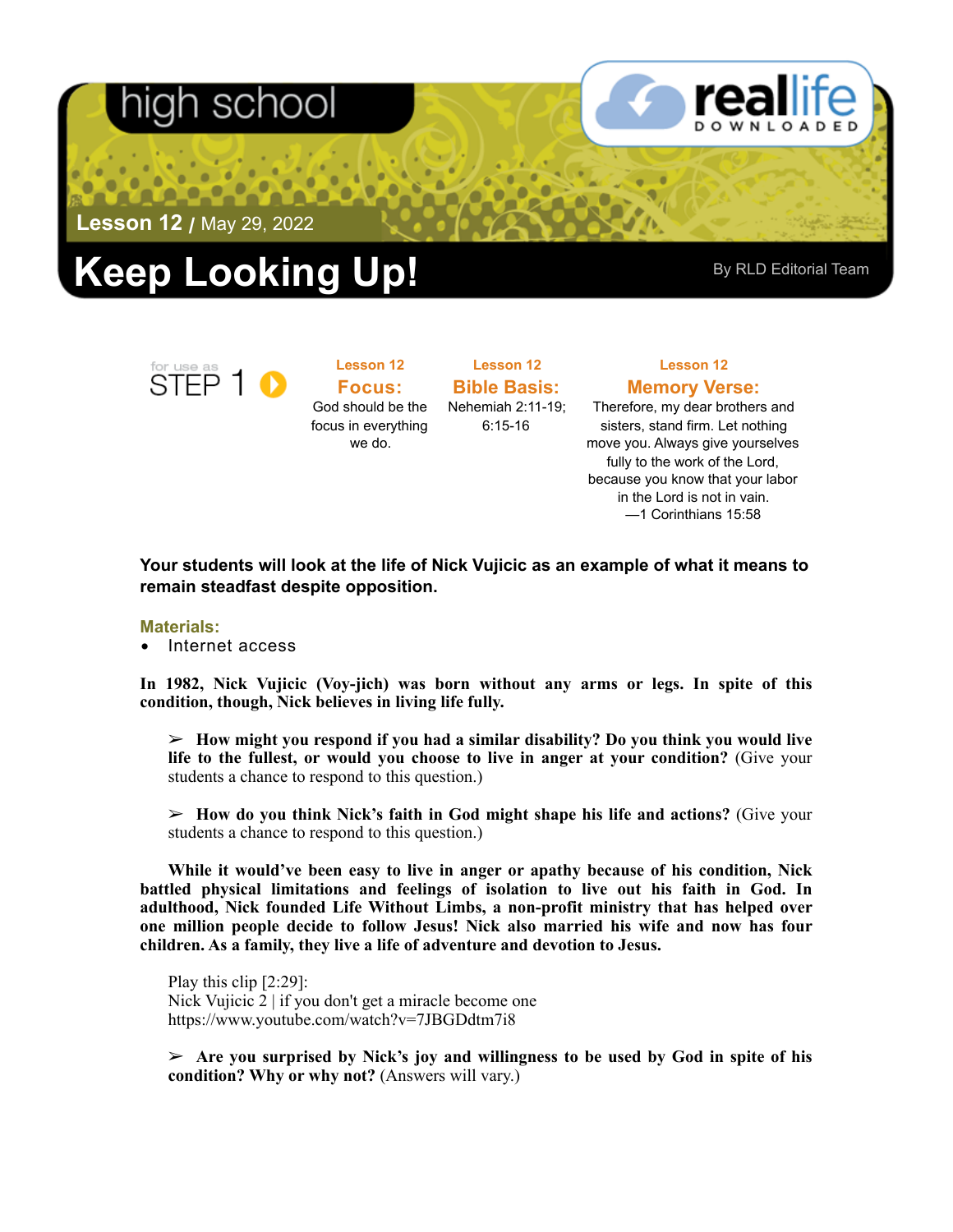## า school



**Lesson 12 /** May 29, 2022

# **Rep Looking Up!** By RLD Editorial Team



**Lesson 12 Focus:**  God should be the focus in everything we do.

**Bible Basis:** Nehemiah 2:11-19; 6:15-16

**Lesson 12** 

### **Lesson 12 Memory Verse:**

Therefore, my dear brothers and sisters, stand firm. Let nothing move you. Always give yourselves fully to the work of the Lord, because you know that your labor in the Lord is not in vain. —1 Corinthians 15:58

**Your students will look at the life of Nick Vujicic as an example of what it means to remain steadfast despite opposition.** 

#### **Materials:**

• Internet access

**In 1982, Nick Vujicic (Voy-jich) was born without any arms or legs. In spite of this condition, though, Nick believes in living life fully.** 

➢ **How might you respond if you had a similar disability? Do you think you would live life to the fullest, or would you choose to live in anger at your condition?** (Give your students a chance to respond to this question.)

➢ **How do you think Nick's faith in God might shape his life and actions?** (Give your students a chance to respond to this question.)

**While it would've been easy to live in anger or apathy because of his condition, Nick battled physical limitations and feelings of isolation to live out his faith in God. In adulthood, Nick founded Life Without Limbs, a non-profit ministry that has helped over one million people decide to follow Jesus! Nick also married his wife and now has four children. As a family, they live a life of adventure and devotion to Jesus.** 

Play this clip [2:29]: Nick Vujicic 2 | if you don't get a miracle become one <https://www.youtube.com/watch?v=7JBGDdtm7i8>

➢ **Are you surprised by Nick's joy and willingness to be used by God in spite of his condition? Why or why not?** (Answers will vary.)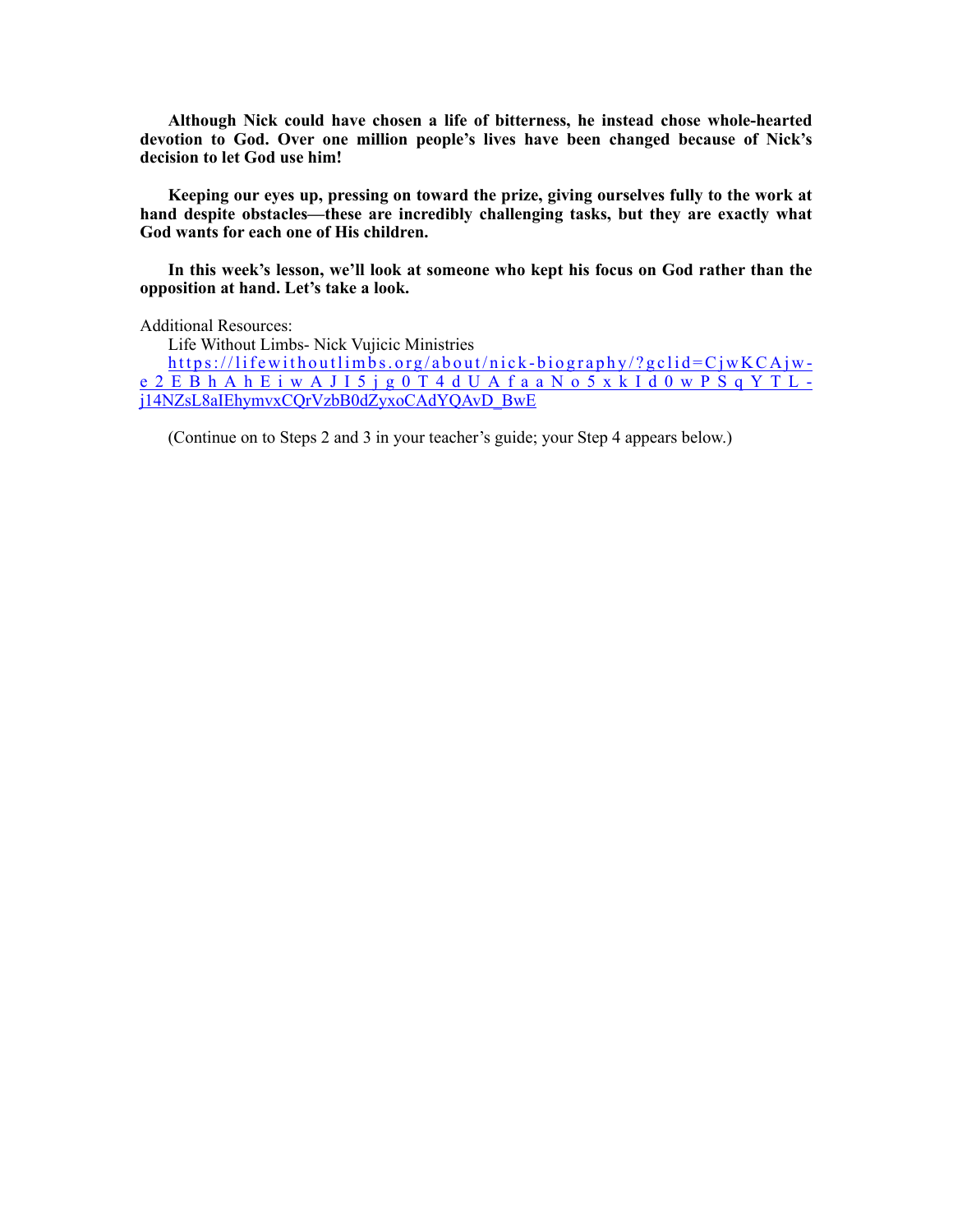**Although Nick could have chosen a life of bitterness, he instead chose whole-hearted devotion to God. Over one million people's lives have been changed because of Nick's decision to let God use him!** 

**Keeping our eyes up, pressing on toward the prize, giving ourselves fully to the work at hand despite obstacles—these are incredibly challenging tasks, but they are exactly what God wants for each one of His children.** 

**In this week's lesson, we'll look at someone who kept his focus on God rather than the opposition at hand. Let's take a look.** 

Additional Resources:

Life Without Limbs- Nick Vujicic Ministries

[https://lifewithoutlimbs.org/about/nick-biography/?gclid=CjwKCAjw](https://lifewithoutlimbs.org/about/nick-biography/?gclid=CjwKCAjw-e2EBhAhEiwAJI5jg0T4dUAfaaNo5xkId0wPSqYTL-j14NZsL8aIEhymvxCQrVzbB0dZyxoCAdYQAvD_BwE)[e2EBhAhEiwAJI5jg0T4dUAfaaNo5xkId0wPSqYTL](https://lifewithoutlimbs.org/about/nick-biography/?gclid=CjwKCAjw-e2EBhAhEiwAJI5jg0T4dUAfaaNo5xkId0wPSqYTL-j14NZsL8aIEhymvxCQrVzbB0dZyxoCAdYQAvD_BwE)[j14NZsL8aIEhymvxCQrVzbB0dZyxoCAdYQAvD\\_BwE](https://lifewithoutlimbs.org/about/nick-biography/?gclid=CjwKCAjw-e2EBhAhEiwAJI5jg0T4dUAfaaNo5xkId0wPSqYTL-j14NZsL8aIEhymvxCQrVzbB0dZyxoCAdYQAvD_BwE)

(Continue on to Steps 2 and 3 in your teacher's guide; your Step 4 appears below.)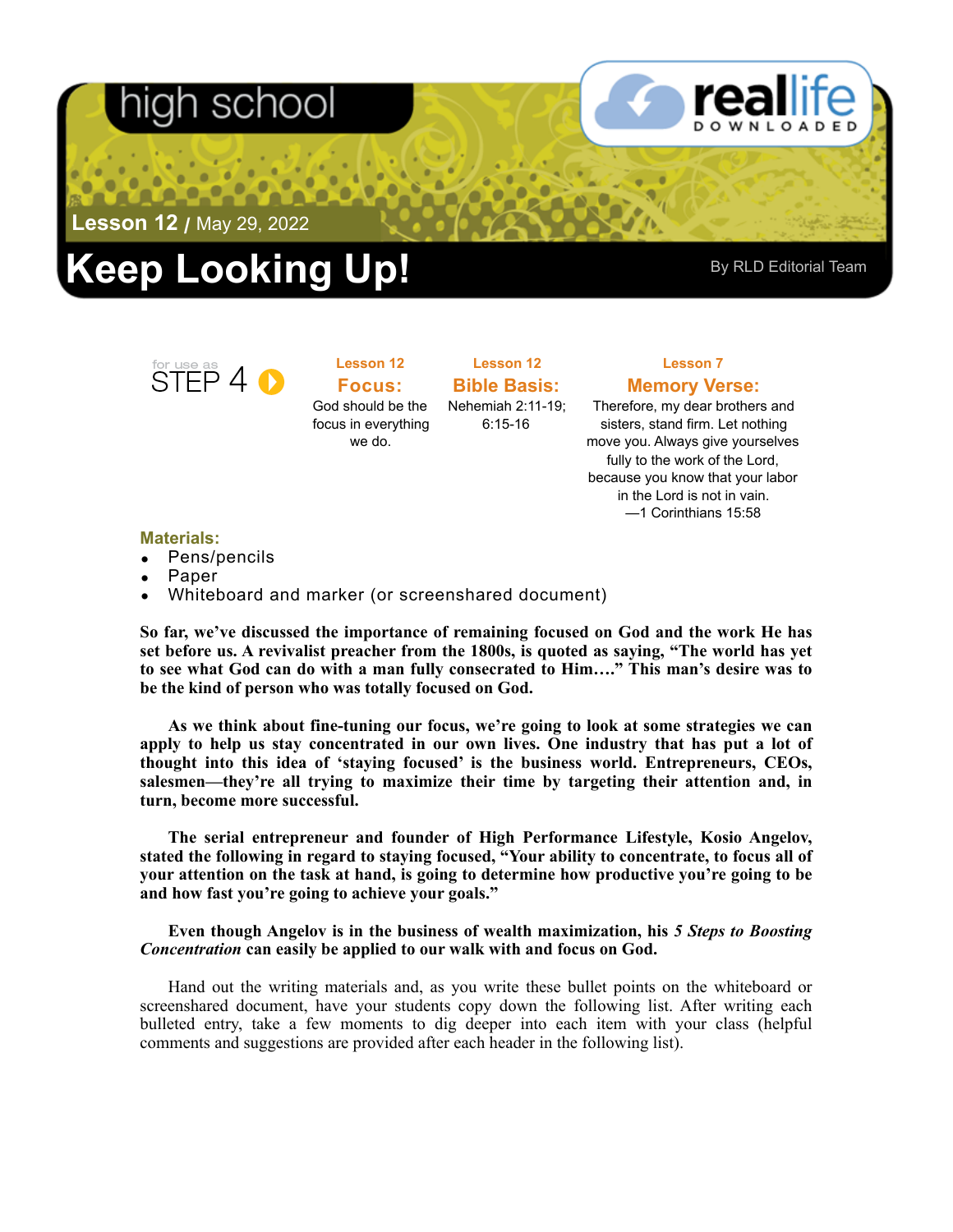## า scr



**Lesson 12 /** May 29, 2022

# **Rep Looking Up!** By RLD Editorial Team



**Lesson 12 Focus:**  God should be the focus in everything

we do.

**Lesson 12 Bible Basis:** Nehemiah 2:11-19;

6:15-16

### **Lesson 7 Memory Verse:**

Therefore, my dear brothers and sisters, stand firm. Let nothing move you. Always give yourselves fully to the work of the Lord, because you know that your labor in the Lord is not in vain. —1 Corinthians 15:58

**Materials:** 

- Pens/pencils
- Paper
- Whiteboard and marker (or screenshared document)

**So far, we've discussed the importance of remaining focused on God and the work He has set before us. A revivalist preacher from the 1800s, is quoted as saying, "The world has yet to see what God can do with a man fully consecrated to Him…." This man's desire was to be the kind of person who was totally focused on God.** 

**As we think about fine-tuning our focus, we're going to look at some strategies we can apply to help us stay concentrated in our own lives. One industry that has put a lot of thought into this idea of 'staying focused' is the business world. Entrepreneurs, CEOs, salesmen—they're all trying to maximize their time by targeting their attention and, in turn, become more successful.** 

**The serial entrepreneur and founder of High Performance Lifestyle, Kosio Angelov, stated the following in regard to staying focused, "Your ability to concentrate, to focus all of your attention on the task at hand, is going to determine how productive you're going to be and how fast you're going to achieve your goals."** 

#### **Even though Angelov is in the business of wealth maximization, his** *5 Steps to Boosting Concentration* **can easily be applied to our walk with and focus on God.**

Hand out the writing materials and, as you write these bullet points on the whiteboard or screenshared document, have your students copy down the following list. After writing each bulleted entry, take a few moments to dig deeper into each item with your class (helpful comments and suggestions are provided after each header in the following list).